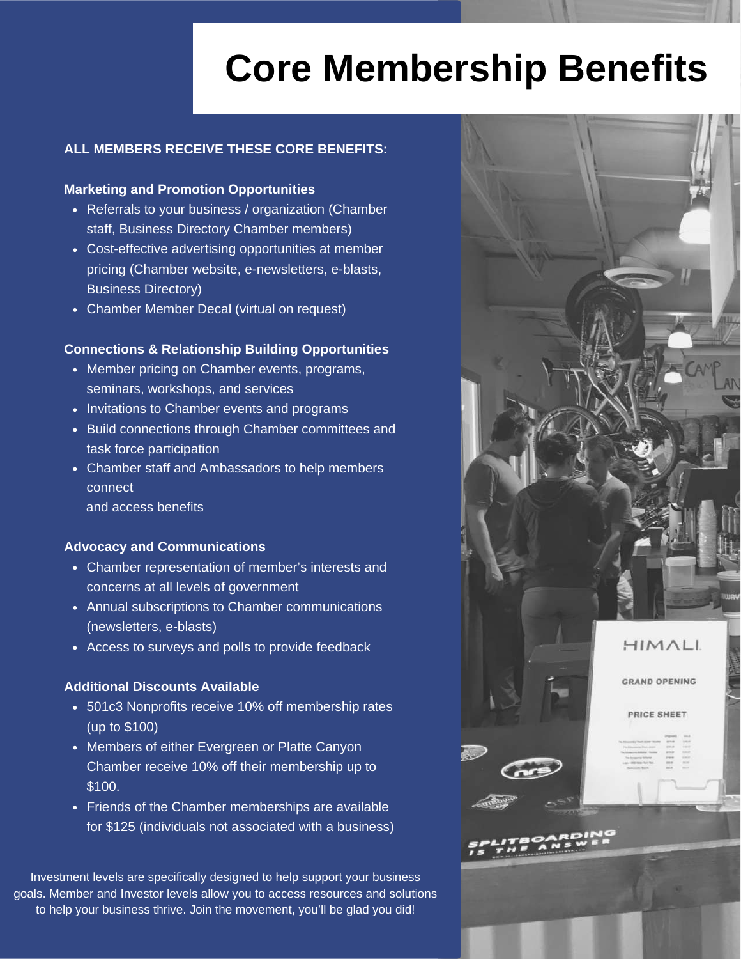## **Core Membership Benefits**

### **ALL MEMBERS RECEIVE THESE CORE BENEFITS:**

### **Marketing and Promotion Opportunities**

- Referrals to your business / organization (Chamber staff, Business Directory Chamber members)
- Cost-effective advertising opportunities at member pricing (Chamber website, e-newsletters, e-blasts, Business Directory)
- Chamber Member Decal (virtual on request)

### **Connections & Relationship Building Opportunities**

- Member pricing on Chamber events, programs, seminars, workshops, and services
- Invitations to Chamber events and programs
- Build connections through Chamber committees and task force participation
- Chamber staff and Ambassadors to help members connect
	- and access benefits

### **Advocacy and Communications**

- Chamber representation of member's interests and concerns at all levels of government
- Annual subscriptions to Chamber communications (newsletters, e-blasts)
- Access to surveys and polls to provide feedback

### **Additional Discounts Available**

- 501c3 Nonprofits receive 10% off membership rates (up to \$100)
- Members of either Evergreen or Platte Canyon Chamber receive 10% off their membership up to \$100.
- Friends of the Chamber memberships are available for \$125 (individuals not associated with a business)

Investment levels are specifically designed to help support your business goals. Member and Investor levels allow you to access resources and solutions to help your business thrive. Join the movement, you'll be glad you did!

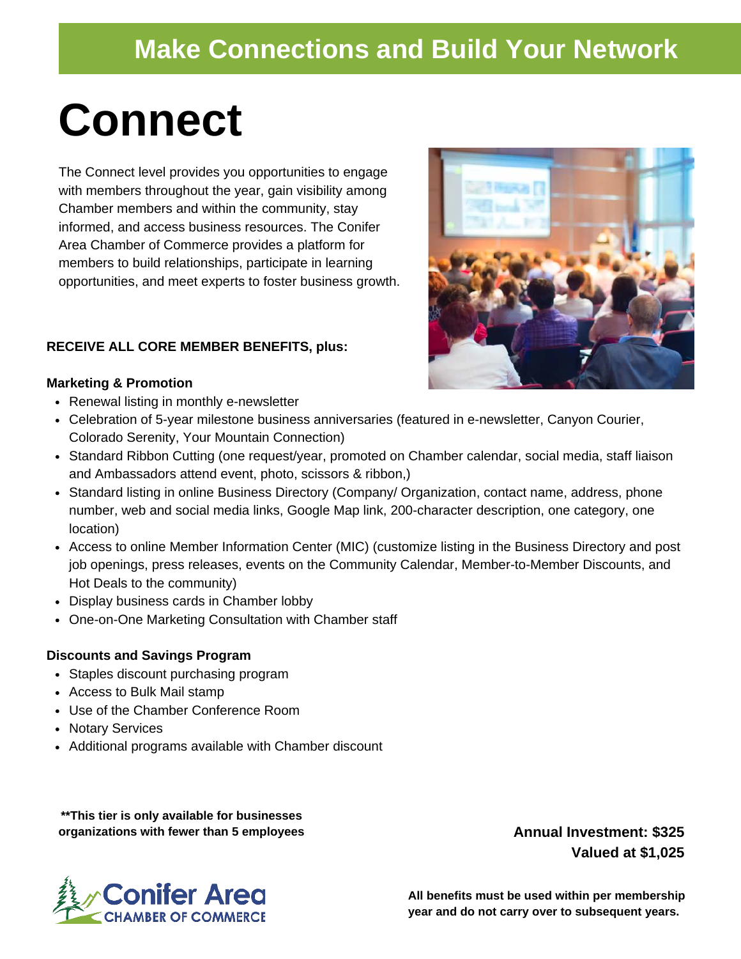### **Make Connections and Build Your Network**

## **Connect**

The Connect level provides you opportunities to engage with members throughout the year, gain visibility among Chamber members and within the community, stay informed, and access business resources. The Conifer Area Chamber of Commerce provides a platform for members to build relationships, participate in learning opportunities, and meet experts to foster business growth.

### **RECEIVE ALL CORE MEMBER BENEFITS, plus:**

### **Marketing & Promotion**

- Renewal listing in monthly e-newsletter
- Celebration of 5-year milestone business anniversaries (featured in e-newsletter, Canyon Courier, Colorado Serenity, Your Mountain Connection)
- Standard Ribbon Cutting (one request/year, promoted on Chamber calendar, social media, staff liaison and Ambassadors attend event, photo, scissors & ribbon,)
- Standard listing in online Business Directory (Company/ Organization, contact name, address, phone number, web and social media links, Google Map link, 200-character description, one category, one location)
- Access to online Member Information Center (MIC) (customize listing in the Business Directory and post job openings, press releases, events on the Community Calendar, Member-to-Member Discounts, and Hot Deals to the community)
- Display business cards in Chamber lobby
- One-on-One Marketing Consultation with Chamber staff

### **Discounts and Savings Program**

- Staples discount purchasing program
- Access to Bulk Mail stamp
- Use of the Chamber Conference Room
- Notary Services
- Additional programs available with Chamber discount

**\*\*This tier is only available for businesses organizations with fewer than 5 employees**

**Annual Investment: \$325 Valued at \$1,025**



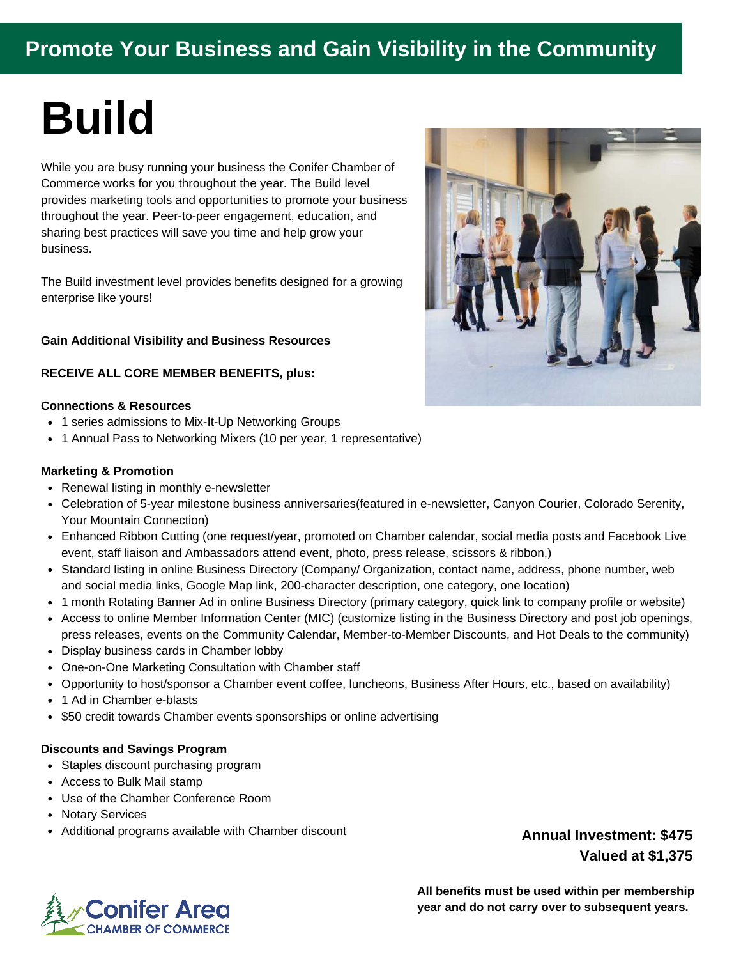### **Promote Your Business and Gain Visibility in the Community**

# **Build**

While you are busy running your business the Conifer Chamber of Commerce works for you throughout the year. The Build level provides marketing tools and opportunities to promote your business throughout the year. Peer-to-peer engagement, education, and sharing best practices will save you time and help grow your business.

The Build investment level provides benefits designed for a growing enterprise like yours!

### **Gain Additional Visibility and Business Resources**

#### **RECEIVE ALL CORE MEMBER BENEFITS, plus:**

#### **Connections & Resources**

- 1 series admissions to Mix-It-Up Networking Groups
- 1 Annual Pass to Networking Mixers (10 per year, 1 representative)

#### **Marketing & Promotion**

- Renewal listing in monthly e-newsletter
- Celebration of 5-year milestone business anniversaries(featured in e-newsletter, Canyon Courier, Colorado Serenity, Your Mountain Connection)
- Enhanced Ribbon Cutting (one request/year, promoted on Chamber calendar, social media posts and Facebook Live event, staff liaison and Ambassadors attend event, photo, press release, scissors & ribbon,)
- Standard listing in online Business Directory (Company/ Organization, contact name, address, phone number, web and social media links, Google Map link, 200-character description, one category, one location)
- 1 month Rotating Banner Ad in online Business Directory (primary category, quick link to company profile or website)
- Access to online Member Information Center (MIC) (customize listing in the Business Directory and post job openings, press releases, events on the Community Calendar, Member-to-Member Discounts, and Hot Deals to the community)
- Display business cards in Chamber lobby
- One-on-One Marketing Consultation with Chamber staff
- Opportunity to host/sponsor a Chamber event coffee, luncheons, Business After Hours, etc., based on availability)
- 1 Ad in Chamber e-blasts
- \$50 credit towards Chamber events sponsorships or online advertising

### **Discounts and Savings Program**

- Staples discount purchasing program
- Access to Bulk Mail stamp
- Use of the Chamber Conference Room
- Notary Services
- Additional programs available with Chamber discount

### **Annual Investment: \$475 Valued at \$1,375**





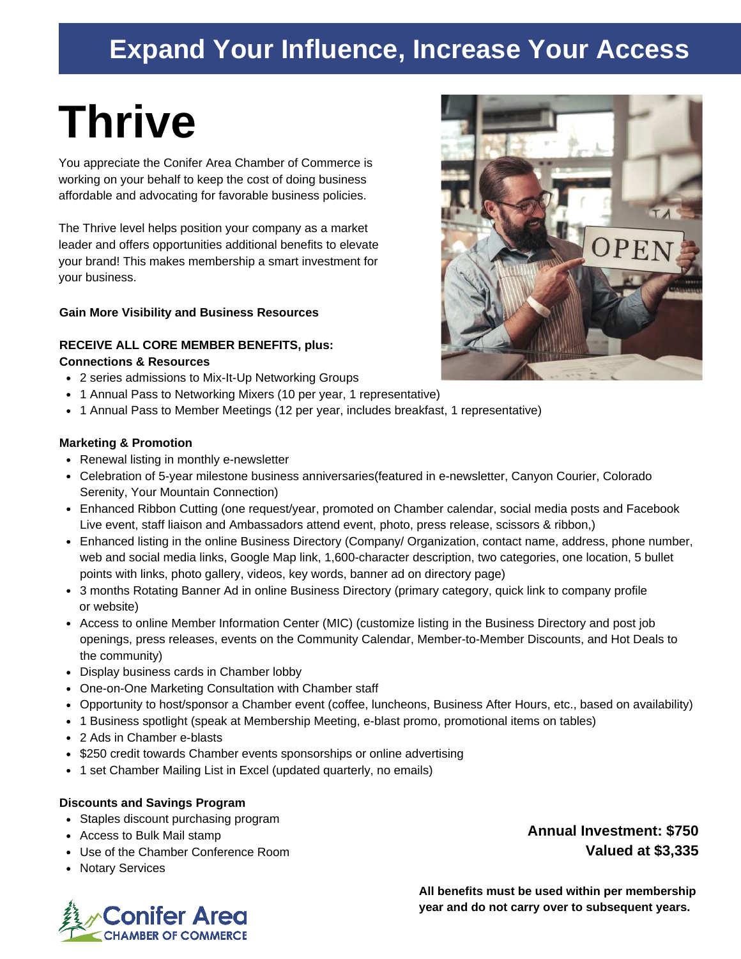### **Expand Your Influence, Increase Your Access**

# **Thrive**

You appreciate the Conifer Area Chamber of Commerce is working on your behalf to keep the cost of doing business affordable and advocating for favorable business policies.

The Thrive level helps position your company as a market leader and offers opportunities additional benefits to elevate your brand! This makes membership a smart investment for your business.

### **Gain More Visibility and Business Resources**

### **RECEIVE ALL CORE MEMBER BENEFITS, plus: Connections & Resources**

- 2 series admissions to Mix-It-Up Networking Groups
- 1 Annual Pass to Networking Mixers (10 per year, 1 representative)
- 1 Annual Pass to Member Meetings (12 per year, includes breakfast, 1 representative)

### **Marketing & Promotion**

- Renewal listing in monthly e-newsletter
- Celebration of 5-year milestone business anniversaries(featured in e-newsletter, Canyon Courier, Colorado Serenity, Your Mountain Connection)
- Enhanced Ribbon Cutting (one request/year, promoted on Chamber calendar, social media posts and Facebook Live event, staff liaison and Ambassadors attend event, photo, press release, scissors & ribbon,)
- Enhanced listing in the online Business Directory (Company/ Organization, contact name, address, phone number, web and social media links, Google Map link, 1,600-character description, two categories, one location, 5 bullet points with links, photo gallery, videos, key words, banner ad on directory page)
- 3 months Rotating Banner Ad in online Business Directory (primary category, quick link to company profile or website)
- Access to online Member Information Center (MIC) (customize listing in the Business Directory and post job openings, press releases, events on the Community Calendar, Member-to-Member Discounts, and Hot Deals to the community)
- Display business cards in Chamber lobby
- One-on-One Marketing Consultation with Chamber staff
- Opportunity to host/sponsor a Chamber event (coffee, luncheons, Business After Hours, etc., based on availability)
- 1 Business spotlight (speak at Membership Meeting, e-blast promo, promotional items on tables)
- 2 Ads in Chamber e-blasts
- \$250 credit towards Chamber events sponsorships or online advertising
- 1 set Chamber Mailing List in Excel (updated quarterly, no emails)

### **Discounts and Savings Program**

- Staples discount purchasing program
- Access to Bulk Mail stamp
- Use of the Chamber Conference Room
- Notary Services





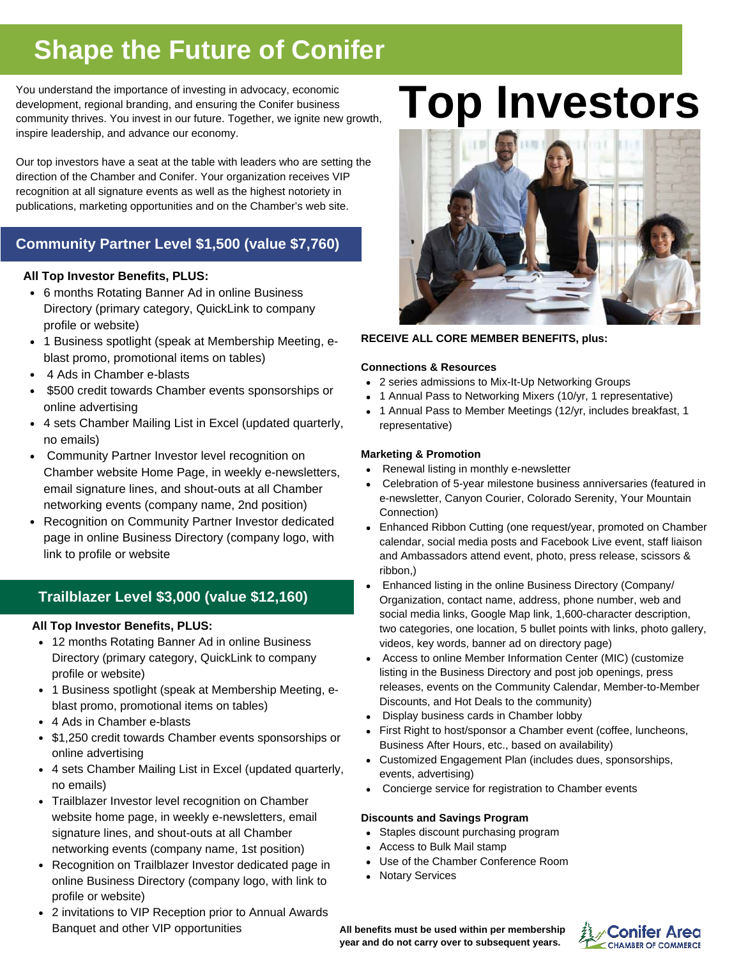### **Shape the Future of Conifer**

You understand the importance of investing in advocacy, economic development, regional branding, and ensuring the Conifer business community thrives. You invest in our future. Together, we ignite new growth, inspire leadership, and advance our economy.

Our top investors have a seat at the table with leaders who are setting the direction of the Chamber and Conifer. Your organization receives VIP recognition at all signature events as well as the highest notoriety in publications, marketing opportunities and on the Chamber's web site.

### **Community Partner Level \$1,500 (value \$7,760)**

### **All Top Investor Benefits, PLUS:**

- 6 months Rotating Banner Ad in online Business Directory (primary category, QuickLink to company profile or website)
- 1 Business spotlight (speak at Membership Meeting, eblast promo, promotional items on tables)
- 4 Ads in Chamber e-blasts
- $\bullet$  \$500 credit towards Chamber events sponsorships or online advertising
- 4 sets Chamber Mailing List in Excel (updated quarterly, no emails)
- Community Partner Investor level recognition on Chamber website Home Page, in weekly e-newsletters, email signature lines, and shout-outs at all Chamber networking events (company name, 2nd position)
- Recognition on Community Partner Investor dedicated page in online Business Directory (company logo, with link to profile or website

### **Trailblazer Level \$3,000 (value \$12,160)**

### **All Top Investor Benefits, PLUS:**

- 12 months Rotating Banner Ad in online Business Directory (primary category, QuickLink to company profile or website)
- 1 Business spotlight (speak at Membership Meeting, eblast promo, promotional items on tables)
- 4 Ads in Chamber e-blasts
- \$1,250 credit towards Chamber events sponsorships or online advertising
- 4 sets Chamber Mailing List in Excel (updated quarterly, no emails)
- Trailblazer Investor level recognition on Chamber website home page, in weekly e-newsletters, email signature lines, and shout-outs at all Chamber networking events (company name, 1st position)
- Recognition on Trailblazer Investor dedicated page in online Business Directory (company logo, with link to profile or website)
- 2 invitations to VIP Reception prior to Annual Awards Banquet and other VIP opportunities

## **Top Investors**



### **RECEIVE ALL CORE MEMBER BENEFITS, plus:**

### **Connections & Resources**

- 2 series admissions to Mix-It-Up Networking Groups
- 1 Annual Pass to Networking Mixers (10/yr, 1 representative)
- 1 Annual Pass to Member Meetings (12/yr, includes breakfast, 1 representative)

### **Marketing & Promotion**

- Renewal listing in monthly e-newsletter
- Celebration of 5-year milestone business anniversaries (featured in e-newsletter, Canyon Courier, Colorado Serenity, Your Mountain Connection)
- Enhanced Ribbon Cutting (one request/year, promoted on Chamber calendar, social media posts and Facebook Live event, staff liaison and Ambassadors attend event, photo, press release, scissors & ribbon,)
- Enhanced listing in the online Business Directory (Company/ Organization, contact name, address, phone number, web and social media links, Google Map link, 1,600-character description, two categories, one location, 5 bullet points with links, photo gallery, videos, key words, banner ad on directory page)
- Access to online Member Information Center (MIC) (customize listing in the Business Directory and post job openings, press releases, events on the Community Calendar, Member-to-Member Discounts, and Hot Deals to the community)
- Display business cards in Chamber lobby
- First Right to host/sponsor a Chamber event (coffee, luncheons, Business After Hours, etc., based on availability)
- Customized Engagement Plan (includes dues, sponsorships, events, advertising)
- Concierge service for registration to Chamber events

### **Discounts and Savings Program**

- Staples discount purchasing program
- Access to Bulk Mail stamp
- Use of the Chamber Conference Room
- Notary Services